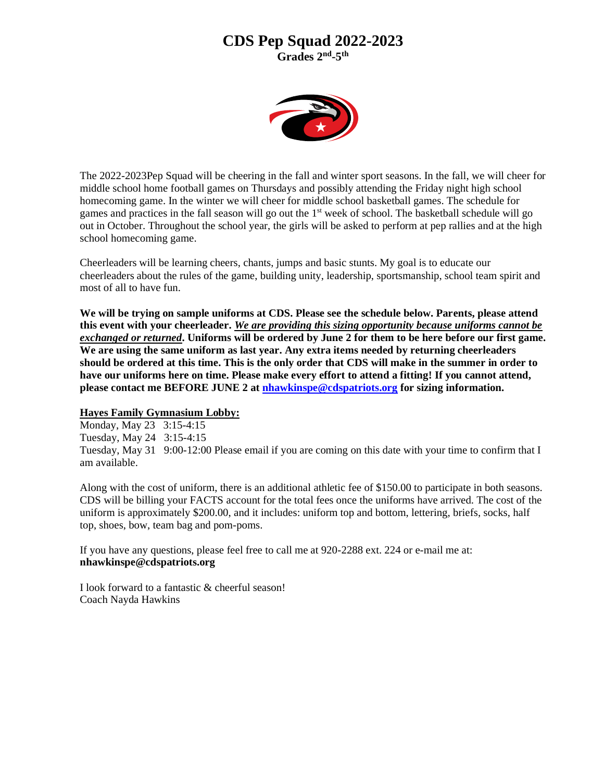### **CDS Pep Squad 2022-2023**

**Grades 2nd -5 th**



The 2022-2023Pep Squad will be cheering in the fall and winter sport seasons. In the fall, we will cheer for middle school home football games on Thursdays and possibly attending the Friday night high school homecoming game. In the winter we will cheer for middle school basketball games. The schedule for games and practices in the fall season will go out the 1st week of school. The basketball schedule will go out in October. Throughout the school year, the girls will be asked to perform at pep rallies and at the high school homecoming game.

Cheerleaders will be learning cheers, chants, jumps and basic stunts. My goal is to educate our cheerleaders about the rules of the game, building unity, leadership, sportsmanship, school team spirit and most of all to have fun.

**We will be trying on sample uniforms at CDS. Please see the schedule below. Parents, please attend this event with your cheerleader.** *We are providing this sizing opportunity because uniforms cannot be exchanged or returned***. Uniforms will be ordered by June 2 for them to be here before our first game. We are using the same uniform as last year. Any extra items needed by returning cheerleaders should be ordered at this time. This is the only order that CDS will make in the summer in order to have our uniforms here on time. Please make every effort to attend a fitting! If you cannot attend, please contact me BEFORE JUNE 2 at [nhawkinspe@cdspatriots.org](mailto:nhawkinspe@cdspatriots.org) for sizing information.**

#### **Hayes Family Gymnasium Lobby:**

Monday, May 23 3:15-4:15 Tuesday, May 24 3:15-4:15 Tuesday, May 31 9:00-12:00 Please email if you are coming on this date with your time to confirm that I am available.

Along with the cost of uniform, there is an additional athletic fee of \$150.00 to participate in both seasons. CDS will be billing your FACTS account for the total fees once the uniforms have arrived. The cost of the uniform is approximately \$200.00, and it includes: uniform top and bottom, lettering, briefs, socks, half top, shoes, bow, team bag and pom-poms.

If you have any questions, please feel free to call me at 920-2288 ext. 224 or e-mail me at: **nhawkinspe@cdspatriots.org**

I look forward to a fantastic & cheerful season! Coach Nayda Hawkins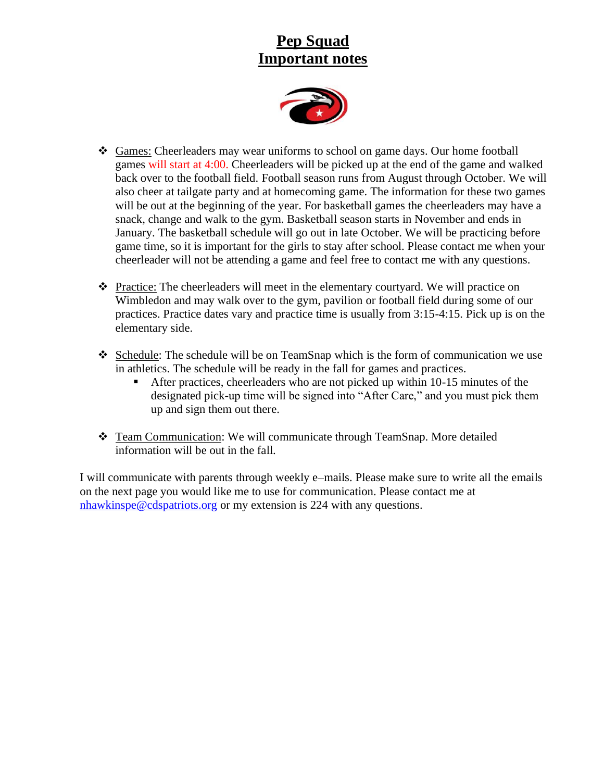# **Pep Squad Important notes**



- ❖ Games: Cheerleaders may wear uniforms to school on game days. Our home football games will start at 4:00. Cheerleaders will be picked up at the end of the game and walked back over to the football field. Football season runs from August through October. We will also cheer at tailgate party and at homecoming game. The information for these two games will be out at the beginning of the year. For basketball games the cheerleaders may have a snack, change and walk to the gym. Basketball season starts in November and ends in January. The basketball schedule will go out in late October. We will be practicing before game time, so it is important for the girls to stay after school. Please contact me when your cheerleader will not be attending a game and feel free to contact me with any questions.
- ❖ Practice: The cheerleaders will meet in the elementary courtyard. We will practice on Wimbledon and may walk over to the gym, pavilion or football field during some of our practices. Practice dates vary and practice time is usually from 3:15-4:15. Pick up is on the elementary side.
- ❖ Schedule: The schedule will be on TeamSnap which is the form of communication we use in athletics. The schedule will be ready in the fall for games and practices.
	- After practices, cheerleaders who are not picked up within 10-15 minutes of the designated pick-up time will be signed into "After Care," and you must pick them up and sign them out there.
- ❖ Team Communication: We will communicate through TeamSnap. More detailed information will be out in the fall.

I will communicate with parents through weekly e–mails. Please make sure to write all the emails on the next page you would like me to use for communication. Please contact me at [nhawkinspe@cdspatriots.org](mailto:nhawkinspe@cdspatriots.org) or my extension is 224 with any questions.